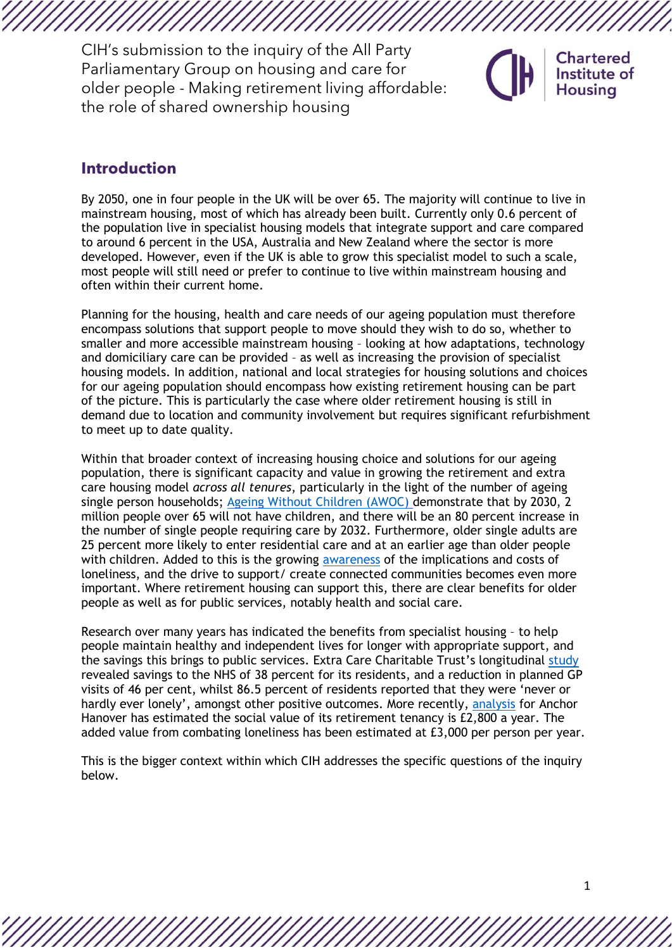# **Introduction**

By 2050, one in four people in the UK will be over 65. The majority will continue to live in mainstream housing, most of which has already been built. Currently only 0.6 percent of the population live in specialist housing models that integrate support and care compared to around 6 percent in the USA, Australia and New Zealand where the sector is more developed. However, even if the UK is able to grow this specialist model to such a scale, most people will still need or prefer to continue to live within mainstream housing and often within their current home.

Planning for the housing, health and care needs of our ageing population must therefore encompass solutions that support people to move should they wish to do so, whether to smaller and more accessible mainstream housing – looking at how adaptations, technology and domiciliary care can be provided – as well as increasing the provision of specialist housing models. In addition, national and local strategies for housing solutions and choices for our ageing population should encompass how existing retirement housing can be part of the picture. This is particularly the case where older retirement housing is still in demand due to location and community involvement but requires significant refurbishment to meet up to date quality.

Within that broader context of increasing housing choice and solutions for our ageing population, there is significant capacity and value in growing the retirement and extra care housing model *across all tenures*, particularly in the light of the number of ageing single person households; [Ageing Without Children \(AWOC\) d](https://www.awwoc.org/)emonstrate that by 2030, 2 million people over 65 will not have children, and there will be an 80 percent increase in the number of single people requiring care by 2032. Furthermore, older single adults are 25 percent more likely to enter residential care and at an earlier age than older people with children. Added to this is the growing [awareness](https://anchorv3dev.s3.eu-west-2.amazonaws.com/documents-pdfs/Anchor%20Fragmented%20UK%20report.pdf) of the implications and costs of loneliness, and the drive to support/ create connected communities becomes even more important. Where retirement housing can support this, there are clear benefits for older people as well as for public services, notably health and social care.

Research over many years has indicated the benefits from specialist housing – to help people maintain healthy and independent lives for longer with appropriate support, and the savings this brings to public services. Extra Care Charitable Trust's longitudinal [study](https://www.extracare.org.uk/research/findings/) revealed savings to the NHS of 38 percent for its residents, and a reduction in planned GP visits of 46 per cent, whilst 86.5 percent of residents reported that they were 'never or hardly ever lonely', amongst other positive outcomes. More recently, [analysis](https://anchorv3dev.s3.eu-west-2.amazonaws.com/documents-pdfs/Anchor%20Fragmented%20UK%20report.pdf) for Anchor Hanover has estimated the social value of its retirement tenancy is £2,800 a year. The added value from combating loneliness has been estimated at £3,000 per person per year.

This is the bigger context within which CIH addresses the specific questions of the inquiry below.

**Chartered** Institute of Housing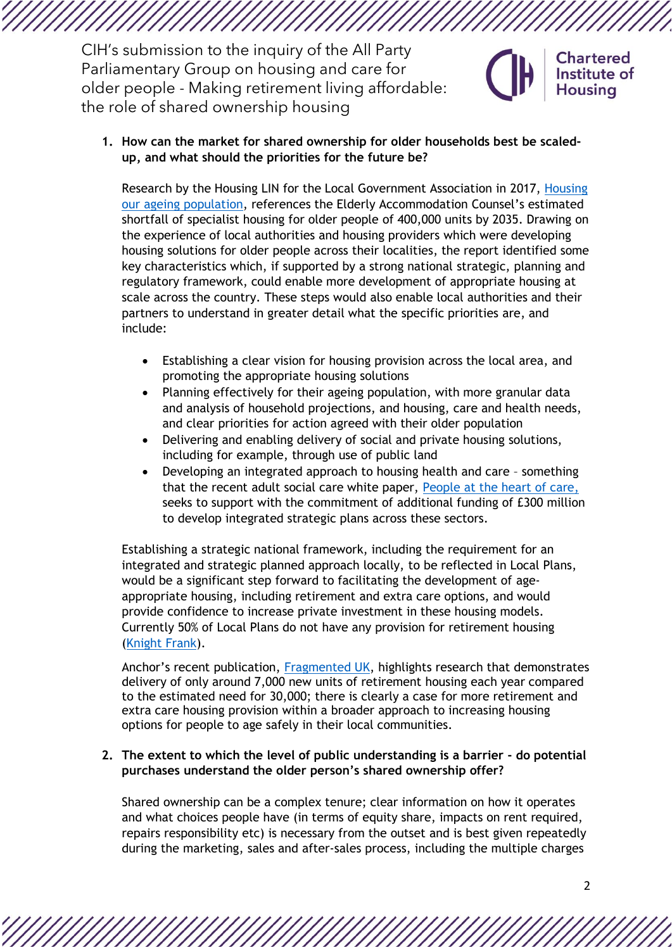**1. How can the market for shared ownership for older households best be scaledup, and what should the priorities for the future be?**

Research by the Housing LIN for the Local Government Association in 2017, [Housing](https://www.local.gov.uk/sites/default/files/documents/5.17%20-%20Housing%20our%20ageing%20population_07_0.pdf)  [our ageing population,](https://www.local.gov.uk/sites/default/files/documents/5.17%20-%20Housing%20our%20ageing%20population_07_0.pdf) references the Elderly Accommodation Counsel's estimated shortfall of specialist housing for older people of 400,000 units by 2035. Drawing on the experience of local authorities and housing providers which were developing housing solutions for older people across their localities, the report identified some key characteristics which, if supported by a strong national strategic, planning and regulatory framework, could enable more development of appropriate housing at scale across the country. These steps would also enable local authorities and their partners to understand in greater detail what the specific priorities are, and include:

- Establishing a clear vision for housing provision across the local area, and promoting the appropriate housing solutions
- Planning effectively for their ageing population, with more granular data and analysis of household projections, and housing, care and health needs, and clear priorities for action agreed with their older population
- Delivering and enabling delivery of social and private housing solutions, including for example, through use of public land
- Developing an integrated approach to housing health and care something that the recent adult social care white paper, [People at the heart of care,](https://www.gov.uk/government/publications/people-at-the-heart-of-care-adult-social-care-reform-white-paper) seeks to support with the commitment of additional funding of £300 million to develop integrated strategic plans across these sectors.

Establishing a strategic national framework, including the requirement for an integrated and strategic planned approach locally, to be reflected in Local Plans, would be a significant step forward to facilitating the development of ageappropriate housing, including retirement and extra care options, and would provide confidence to increase private investment in these housing models. Currently 50% of Local Plans do not have any provision for retirement housing [\(Knight Frank\)](https://www.knightfrank.com/research/article/2020-07-17-planning-remains-key-to-unlocking-development-opportunities-for-the-senior-living-market).

Anchor's recent publication, [Fragmented UK,](https://anchorv3dev.s3.eu-west-2.amazonaws.com/documents-pdfs/Anchor%20Fragmented%20UK%20report.pdf) highlights research that demonstrates delivery of only around 7,000 new units of retirement housing each year compared to the estimated need for 30,000; there is clearly a case for more retirement and extra care housing provision within a broader approach to increasing housing options for people to age safely in their local communities.

### **2. The extent to which the level of public understanding is a barrier - do potential purchases understand the older person's shared ownership offer?**

Shared ownership can be a complex tenure; clear information on how it operates and what choices people have (in terms of equity share, impacts on rent required, repairs responsibility etc) is necessary from the outset and is best given repeatedly during the marketing, sales and after-sales process, including the multiple charges

**Chartered** Institute of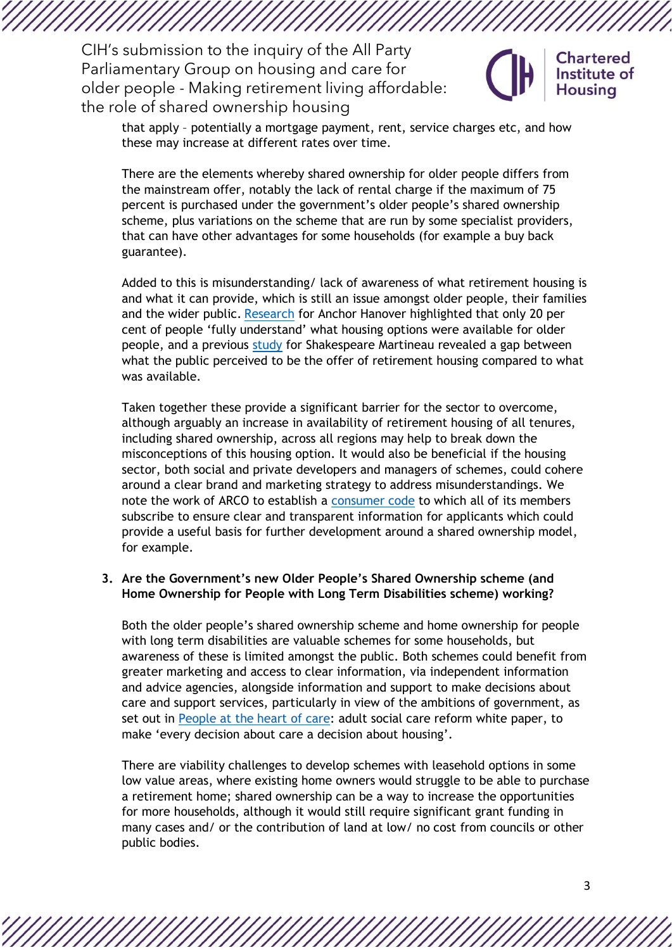

**Chartered** Institute of

that apply – potentially a mortgage payment, rent, service charges etc, and how these may increase at different rates over time.

There are the elements whereby shared ownership for older people differs from the mainstream offer, notably the lack of rental charge if the maximum of 75 percent is purchased under the government's older people's shared ownership scheme, plus variations on the scheme that are run by some specialist providers, that can have other advantages for some households (for example a buy back guarantee).

Added to this is misunderstanding/ lack of awareness of what retirement housing is and what it can provide, which is still an issue amongst older people, their families and the wider public. [Research](https://anchorv3dev.s3.eu-west-2.amazonaws.com/documents-pdfs/Anchor%20Fragmented%20UK%20report.pdf) for Anchor Hanover highlighted that only 20 per cent of people 'fully understand' what housing options were available for older people, and a previous [study](https://www.shma.co.uk/retirement-housing-white-paper/) for Shakespeare Martineau revealed a gap between what the public perceived to be the offer of retirement housing compared to what was available.

Taken together these provide a significant barrier for the sector to overcome, although arguably an increase in availability of retirement housing of all tenures, including shared ownership, across all regions may help to break down the misconceptions of this housing option. It would also be beneficial if the housing sector, both social and private developers and managers of schemes, could cohere around a clear brand and marketing strategy to address misunderstandings. We note the work of ARCO to establish a [consumer code](https://www.arcouk.org/sites/default/files/ARCO%20Consumer%20Code_A5_AUG%202021_FINAL%20ONLINE_0.pdf) to which all of its members subscribe to ensure clear and transparent information for applicants which could provide a useful basis for further development around a shared ownership model, for example.

#### **3. Are the Government's new Older People's Shared Ownership scheme (and Home Ownership for People with Long Term Disabilities scheme) working?**

Both the older people's shared ownership scheme and home ownership for people with long term disabilities are valuable schemes for some households, but awareness of these is limited amongst the public. Both schemes could benefit from greater marketing and access to clear information, via independent information and advice agencies, alongside information and support to make decisions about care and support services, particularly in view of the ambitions of government, as set out in [People at the heart of care:](https://www.gov.uk/government/publications/people-at-the-heart-of-care-adult-social-care-reform-white-paper) adult social care reform white paper, to make 'every decision about care a decision about housing'.

There are viability challenges to develop schemes with leasehold options in some low value areas, where existing home owners would struggle to be able to purchase a retirement home; shared ownership can be a way to increase the opportunities for more households, although it would still require significant grant funding in many cases and/ or the contribution of land at low/ no cost from councils or other public bodies.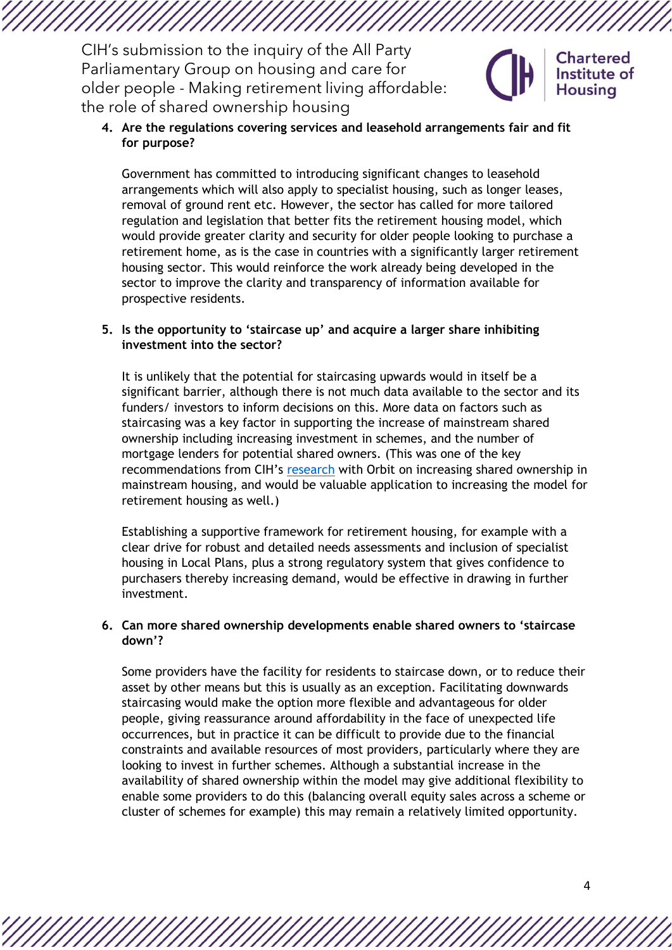

Government has committed to introducing significant changes to leasehold arrangements which will also apply to specialist housing, such as longer leases, removal of ground rent etc. However, the sector has called for more tailored regulation and legislation that better fits the retirement housing model, which would provide greater clarity and security for older people looking to purchase a retirement home, as is the case in countries with a significantly larger retirement housing sector. This would reinforce the work already being developed in the sector to improve the clarity and transparency of information available for prospective residents.

## **5. Is the opportunity to 'staircase up' and acquire a larger share inhibiting investment into the sector?**

It is unlikely that the potential for staircasing upwards would in itself be a significant barrier, although there is not much data available to the sector and its funders/ investors to inform decisions on this. More data on factors such as staircasing was a key factor in supporting the increase of mainstream shared ownership including increasing investment in schemes, and the number of mortgage lenders for potential shared owners. (This was one of the key recommendations from CIH's [research](https://www.orbitgroup.org.uk/media/1337/shared-ownership-20-towards-a-fourth-mainstream-tenure.pdf) with Orbit on increasing shared ownership in mainstream housing, and would be valuable application to increasing the model for retirement housing as well.)

Establishing a supportive framework for retirement housing, for example with a clear drive for robust and detailed needs assessments and inclusion of specialist housing in Local Plans, plus a strong regulatory system that gives confidence to purchasers thereby increasing demand, would be effective in drawing in further investment.

### **6. Can more shared ownership developments enable shared owners to 'staircase down'?**

Some providers have the facility for residents to staircase down, or to reduce their asset by other means but this is usually as an exception. Facilitating downwards staircasing would make the option more flexible and advantageous for older people, giving reassurance around affordability in the face of unexpected life occurrences, but in practice it can be difficult to provide due to the financial constraints and available resources of most providers, particularly where they are looking to invest in further schemes. Although a substantial increase in the availability of shared ownership within the model may give additional flexibility to enable some providers to do this (balancing overall equity sales across a scheme or cluster of schemes for example) this may remain a relatively limited opportunity.

**Chartered** Institute of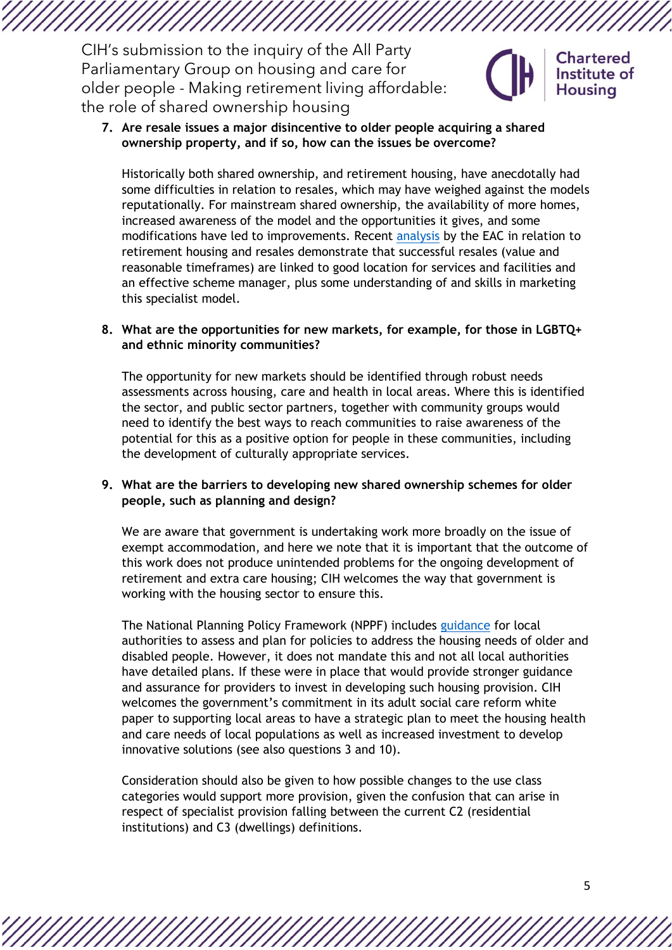**7. Are resale issues a major disincentive to older people acquiring a shared ownership property, and if so, how can the issues be overcome?**

Historically both shared ownership, and retirement housing, have anecdotally had some difficulties in relation to resales, which may have weighed against the models reputationally. For mainstream shared ownership, the availability of more homes, increased awareness of the model and the opportunities it gives, and some modifications have led to improvements. Recent [analysis](https://housingcare.org/downloads/kbase/3607.pdf) by the EAC in relation to retirement housing and resales demonstrate that successful resales (value and reasonable timeframes) are linked to good location for services and facilities and an effective scheme manager, plus some understanding of and skills in marketing this specialist model.

#### **8. What are the opportunities for new markets, for example, for those in LGBTQ+ and ethnic minority communities?**

The opportunity for new markets should be identified through robust needs assessments across housing, care and health in local areas. Where this is identified the sector, and public sector partners, together with community groups would need to identify the best ways to reach communities to raise awareness of the potential for this as a positive option for people in these communities, including the development of culturally appropriate services.

#### **9. What are the barriers to developing new shared ownership schemes for older people, such as planning and design?**

We are aware that government is undertaking work more broadly on the issue of exempt accommodation, and here we note that it is important that the outcome of this work does not produce unintended problems for the ongoing development of retirement and extra care housing; CIH welcomes the way that government is working with the housing sector to ensure this.

The National Planning Policy Framework (NPPF) includes [guidance](https://www.gov.uk/guidance/housing-for-older-and-disabled-people) for local authorities to assess and plan for policies to address the housing needs of older and disabled people. However, it does not mandate this and not all local authorities have detailed plans. If these were in place that would provide stronger guidance and assurance for providers to invest in developing such housing provision. CIH welcomes the government's commitment in its adult social care reform white paper to supporting local areas to have a strategic plan to meet the housing health and care needs of local populations as well as increased investment to develop innovative solutions (see also questions 3 and 10).

Consideration should also be given to how possible changes to the use class categories would support more provision, given the confusion that can arise in respect of specialist provision falling between the current C2 (residential institutions) and C3 (dwellings) definitions.

**Chartered** Institute of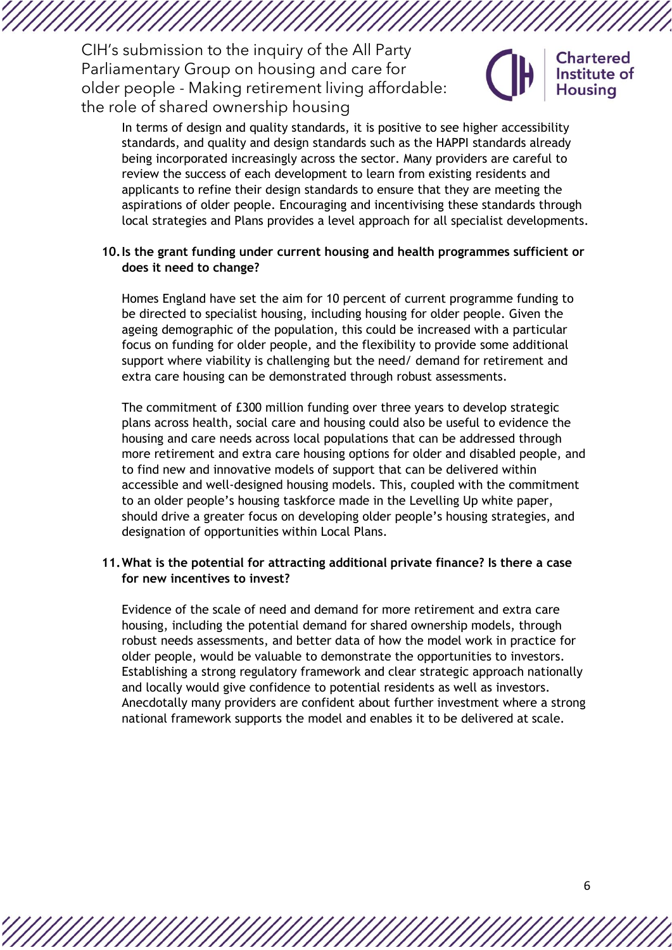

**Chartered** Institute of

In terms of design and quality standards, it is positive to see higher accessibility standards, and quality and design standards such as the HAPPI standards already being incorporated increasingly across the sector. Many providers are careful to review the success of each development to learn from existing residents and applicants to refine their design standards to ensure that they are meeting the aspirations of older people. Encouraging and incentivising these standards through local strategies and Plans provides a level approach for all specialist developments.

#### **10.Is the grant funding under current housing and health programmes sufficient or does it need to change?**

Homes England have set the aim for 10 percent of current programme funding to be directed to specialist housing, including housing for older people. Given the ageing demographic of the population, this could be increased with a particular focus on funding for older people, and the flexibility to provide some additional support where viability is challenging but the need/ demand for retirement and extra care housing can be demonstrated through robust assessments.

The commitment of £300 million funding over three years to develop strategic plans across health, social care and housing could also be useful to evidence the housing and care needs across local populations that can be addressed through more retirement and extra care housing options for older and disabled people, and to find new and innovative models of support that can be delivered within accessible and well-designed housing models. This, coupled with the commitment to an older people's housing taskforce made in the Levelling Up white paper, should drive a greater focus on developing older people's housing strategies, and designation of opportunities within Local Plans.

#### **11.What is the potential for attracting additional private finance? Is there a case for new incentives to invest?**

Evidence of the scale of need and demand for more retirement and extra care housing, including the potential demand for shared ownership models, through robust needs assessments, and better data of how the model work in practice for older people, would be valuable to demonstrate the opportunities to investors. Establishing a strong regulatory framework and clear strategic approach nationally and locally would give confidence to potential residents as well as investors. Anecdotally many providers are confident about further investment where a strong national framework supports the model and enables it to be delivered at scale.